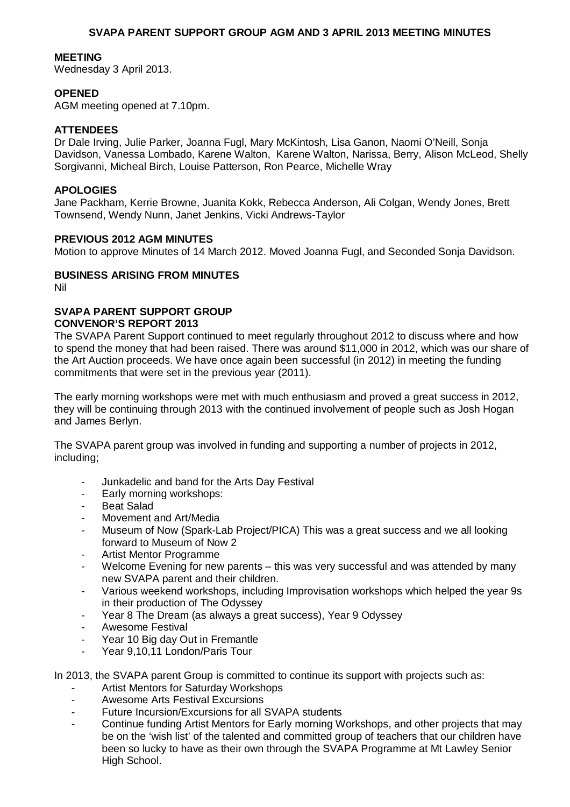#### **MEETING**

Wednesday 3 April 2013.

#### **OPENED**

AGM meeting opened at 7.10pm.

#### **ATTENDEES**

Dr Dale Irving, Julie Parker, Joanna Fugl, Mary McKintosh, Lisa Ganon, Naomi O'Neill, Sonja Davidson, Vanessa Lombado, Karene Walton, Karene Walton, Narissa, Berry, Alison McLeod, Shelly Sorgivanni, Micheal Birch, Louise Patterson, Ron Pearce, Michelle Wray

### **APOLOGIES**

Jane Packham, Kerrie Browne, Juanita Kokk, Rebecca Anderson, Ali Colgan, Wendy Jones, Brett Townsend, Wendy Nunn, Janet Jenkins, Vicki Andrews-Taylor

#### **PREVIOUS 2012 AGM MINUTES**

Motion to approve Minutes of 14 March 2012. Moved Joanna Fugl, and Seconded Sonja Davidson.

#### **BUSINESS ARISING FROM MINUTES**

Nil

#### **SVAPA PARENT SUPPORT GROUP CONVENOR'S REPORT 2013**

The SVAPA Parent Support continued to meet regularly throughout 2012 to discuss where and how to spend the money that had been raised. There was around \$11,000 in 2012, which was our share of the Art Auction proceeds. We have once again been successful (in 2012) in meeting the funding commitments that were set in the previous year (2011).

The early morning workshops were met with much enthusiasm and proved a great success in 2012, they will be continuing through 2013 with the continued involvement of people such as Josh Hogan and James Berlyn.

The SVAPA parent group was involved in funding and supporting a number of projects in 2012, including;

- Junkadelic and band for the Arts Day Festival
- Early morning workshops:
- Beat Salad
- Movement and Art/Media
- Museum of Now (Spark-Lab Project/PICA) This was a great success and we all looking forward to Museum of Now 2
- Artist Mentor Programme
- Welcome Evening for new parents this was very successful and was attended by many new SVAPA parent and their children.
- Various weekend workshops, including Improvisation workshops which helped the year 9s in their production of The Odyssey
- Year 8 The Dream (as always a great success), Year 9 Odyssey
- Awesome Festival
- Year 10 Big day Out in Fremantle
- Year 9,10,11 London/Paris Tour

In 2013, the SVAPA parent Group is committed to continue its support with projects such as:

- Artist Mentors for Saturday Workshops
- Awesome Arts Festival Excursions
- Future Incursion/Excursions for all SVAPA students
- Continue funding Artist Mentors for Early morning Workshops, and other projects that may be on the 'wish list' of the talented and committed group of teachers that our children have been so lucky to have as their own through the SVAPA Programme at Mt Lawley Senior High School.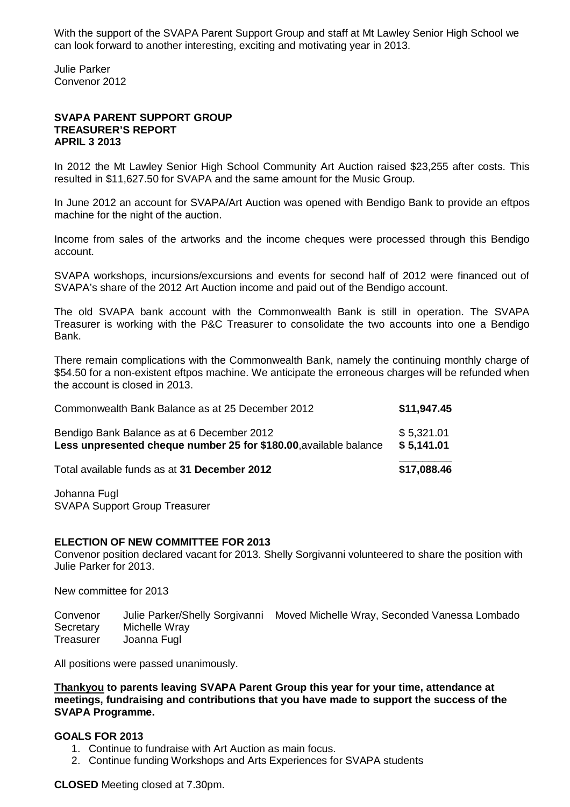With the support of the SVAPA Parent Support Group and staff at Mt Lawley Senior High School we can look forward to another interesting, exciting and motivating year in 2013.

Julie Parker Convenor 2012

#### **SVAPA PARENT SUPPORT GROUP TREASURER'S REPORT APRIL 3 2013**

In 2012 the Mt Lawley Senior High School Community Art Auction raised \$23,255 after costs. This resulted in \$11,627.50 for SVAPA and the same amount for the Music Group.

In June 2012 an account for SVAPA/Art Auction was opened with Bendigo Bank to provide an eftpos machine for the night of the auction.

Income from sales of the artworks and the income cheques were processed through this Bendigo account.

SVAPA workshops, incursions/excursions and events for second half of 2012 were financed out of SVAPA's share of the 2012 Art Auction income and paid out of the Bendigo account.

The old SVAPA bank account with the Commonwealth Bank is still in operation. The SVAPA Treasurer is working with the P&C Treasurer to consolidate the two accounts into one a Bendigo Bank.

There remain complications with the Commonwealth Bank, namely the continuing monthly charge of \$54.50 for a non-existent eftpos machine. We anticipate the erroneous charges will be refunded when the account is closed in 2013.

| Commonwealth Bank Balance as at 25 December 2012                                                                | \$11,947.45              |
|-----------------------------------------------------------------------------------------------------------------|--------------------------|
| Bendigo Bank Balance as at 6 December 2012<br>Less unpresented cheque number 25 for \$180.00, available balance | \$5,321.01<br>\$5,141.01 |
| Total available funds as at 31 December 2012                                                                    | \$17,088.46              |

Johanna Fugl SVAPA Support Group Treasurer

#### **ELECTION OF NEW COMMITTEE FOR 2013**

Convenor position declared vacant for 2013. Shelly Sorgivanni volunteered to share the position with Julie Parker for 2013.

New committee for 2013

Convenor Julie Parker/Shelly Sorgivanni Moved Michelle Wray, Seconded Vanessa Lombado Secretary Michelle Wray Treasurer Joanna Fugl

All positions were passed unanimously.

**Thankyou to parents leaving SVAPA Parent Group this year for your time, attendance at meetings, fundraising and contributions that you have made to support the success of the SVAPA Programme.** 

#### **GOALS FOR 2013**

- 1. Continue to fundraise with Art Auction as main focus.
- 2. Continue funding Workshops and Arts Experiences for SVAPA students

#### **CLOSED** Meeting closed at 7.30pm.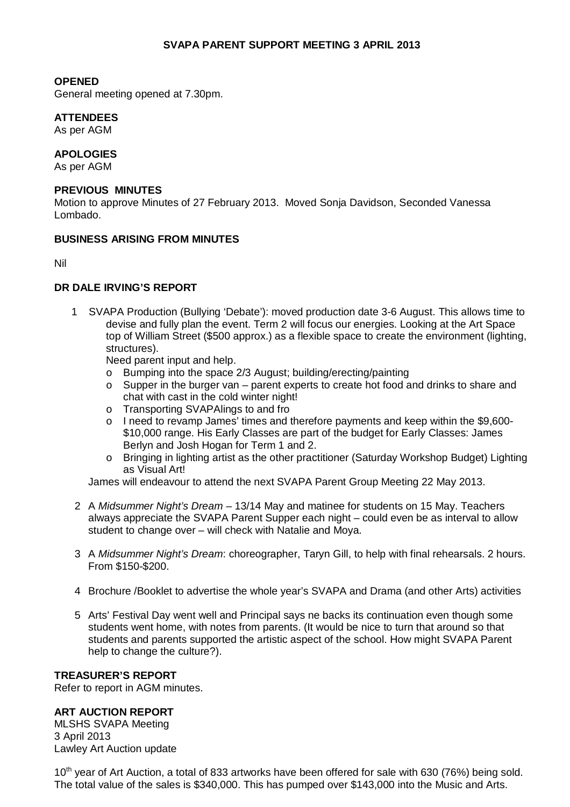# **OPENED**

General meeting opened at 7.30pm.

# **ATTENDEES**

As per AGM

# **APOLOGIES**

As per AGM

# **PREVIOUS MINUTES**

Motion to approve Minutes of 27 February 2013. Moved Sonja Davidson, Seconded Vanessa Lombado.

# **BUSINESS ARISING FROM MINUTES**

Nil

# **DR DALE IRVING'S REPORT**

1 SVAPA Production (Bullying 'Debate'): moved production date 3-6 August. This allows time to devise and fully plan the event. Term 2 will focus our energies. Looking at the Art Space top of William Street (\$500 approx.) as a flexible space to create the environment (lighting, structures).

Need parent input and help.

- o Bumping into the space 2/3 August; building/erecting/painting
- $\circ$  Supper in the burger van parent experts to create hot food and drinks to share and chat with cast in the cold winter night!
- o Transporting SVAPAlings to and fro
- o I need to revamp James' times and therefore payments and keep within the \$9,600- \$10,000 range. His Early Classes are part of the budget for Early Classes: James Berlyn and Josh Hogan for Term 1 and 2.
- o Bringing in lighting artist as the other practitioner (Saturday Workshop Budget) Lighting as Visual Art!

James will endeavour to attend the next SVAPA Parent Group Meeting 22 May 2013.

- 2 A *Midsummer Night's Dream* 13/14 May and matinee for students on 15 May. Teachers always appreciate the SVAPA Parent Supper each night – could even be as interval to allow student to change over – will check with Natalie and Moya.
- 3 A *Midsummer Night's Dream*: choreographer, Taryn Gill, to help with final rehearsals. 2 hours. From \$150-\$200.
- 4 Brochure /Booklet to advertise the whole year's SVAPA and Drama (and other Arts) activities
- 5 Arts' Festival Day went well and Principal says ne backs its continuation even though some students went home, with notes from parents. (It would be nice to turn that around so that students and parents supported the artistic aspect of the school. How might SVAPA Parent help to change the culture?).

# **TREASURER'S REPORT**

Refer to report in AGM minutes.

# **ART AUCTION REPORT**

MLSHS SVAPA Meeting 3 April 2013 Lawley Art Auction update

10<sup>th</sup> year of Art Auction, a total of 833 artworks have been offered for sale with 630 (76%) being sold. The total value of the sales is \$340,000. This has pumped over \$143,000 into the Music and Arts.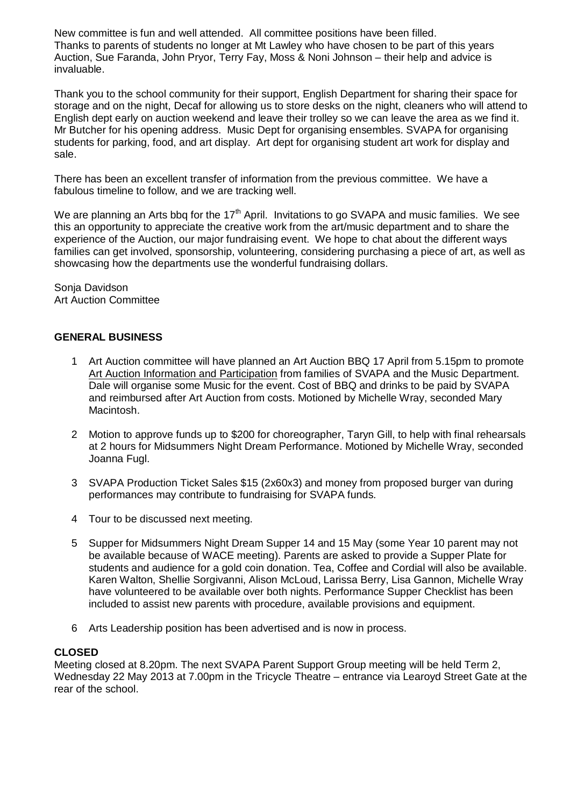New committee is fun and well attended. All committee positions have been filled. Thanks to parents of students no longer at Mt Lawley who have chosen to be part of this years Auction, Sue Faranda, John Pryor, Terry Fay, Moss & Noni Johnson – their help and advice is invaluable.

Thank you to the school community for their support, English Department for sharing their space for storage and on the night, Decaf for allowing us to store desks on the night, cleaners who will attend to English dept early on auction weekend and leave their trolley so we can leave the area as we find it. Mr Butcher for his opening address. Music Dept for organising ensembles. SVAPA for organising students for parking, food, and art display. Art dept for organising student art work for display and sale.

There has been an excellent transfer of information from the previous committee. We have a fabulous timeline to follow, and we are tracking well.

We are planning an Arts bbq for the  $17<sup>th</sup>$  April. Invitations to go SVAPA and music families. We see this an opportunity to appreciate the creative work from the art/music department and to share the experience of the Auction, our major fundraising event. We hope to chat about the different ways families can get involved, sponsorship, volunteering, considering purchasing a piece of art, as well as showcasing how the departments use the wonderful fundraising dollars.

Sonja Davidson Art Auction Committee

# **GENERAL BUSINESS**

- 1 Art Auction committee will have planned an Art Auction BBQ 17 April from 5.15pm to promote Art Auction Information and Participation from families of SVAPA and the Music Department. Dale will organise some Music for the event. Cost of BBQ and drinks to be paid by SVAPA and reimbursed after Art Auction from costs. Motioned by Michelle Wray, seconded Mary Macintosh.
- 2 Motion to approve funds up to \$200 for choreographer, Taryn Gill, to help with final rehearsals at 2 hours for Midsummers Night Dream Performance. Motioned by Michelle Wray, seconded Joanna Fugl.
- 3 SVAPA Production Ticket Sales \$15 (2x60x3) and money from proposed burger van during performances may contribute to fundraising for SVAPA funds.
- 4 Tour to be discussed next meeting.
- 5 Supper for Midsummers Night Dream Supper 14 and 15 May (some Year 10 parent may not be available because of WACE meeting). Parents are asked to provide a Supper Plate for students and audience for a gold coin donation. Tea, Coffee and Cordial will also be available. Karen Walton, Shellie Sorgivanni, Alison McLoud, Larissa Berry, Lisa Gannon, Michelle Wray have volunteered to be available over both nights. Performance Supper Checklist has been included to assist new parents with procedure, available provisions and equipment.
- 6 Arts Leadership position has been advertised and is now in process.

# **CLOSED**

Meeting closed at 8.20pm. The next SVAPA Parent Support Group meeting will be held Term 2, Wednesday 22 May 2013 at 7.00pm in the Tricycle Theatre – entrance via Learoyd Street Gate at the rear of the school.